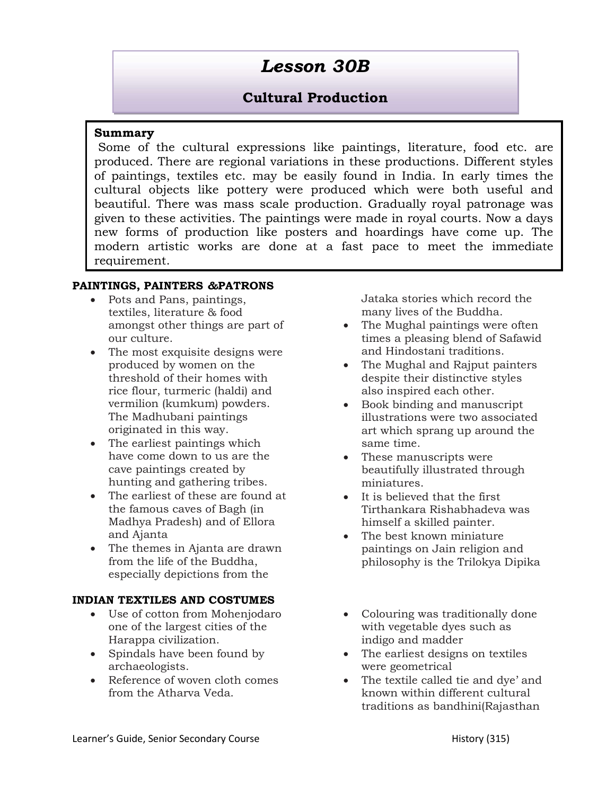# Lesson 30B

# Cultural Production

## Summary

 Some of the cultural expressions like paintings, literature, food etc. are produced. There are regional variations in these productions. Different styles of paintings, textiles etc. may be easily found in India. In early times the cultural objects like pottery were produced which were both useful and beautiful. There was mass scale production. Gradually royal patronage was given to these activities. The paintings were made in royal courts. Now a days new forms of production like posters and hoardings have come up. The modern artistic works are done at a fast pace to meet the immediate requirement.

## PAINTINGS, PAINTERS &PATRONS

- Pots and Pans, paintings, textiles, literature & food amongst other things are part of our culture.
- The most exquisite designs were produced by women on the threshold of their homes with rice flour, turmeric (haldi) and vermilion (kumkum) powders. The Madhubani paintings originated in this way.
- The earliest paintings which have come down to us are the cave paintings created by hunting and gathering tribes.
- The earliest of these are found at the famous caves of Bagh (in Madhya Pradesh) and of Ellora and Ajanta
- The themes in Ajanta are drawn from the life of the Buddha, especially depictions from the

## INDIAN TEXTILES AND COSTUMES

- Use of cotton from Mohenjodaro one of the largest cities of the Harappa civilization.
- Spindals have been found by archaeologists.
- Reference of woven cloth comes from the Atharva Veda.

Jataka stories which record the many lives of the Buddha.

- The Mughal paintings were often times a pleasing blend of Safawid and Hindostani traditions.
- The Mughal and Rajput painters despite their distinctive styles also inspired each other.
- Book binding and manuscript illustrations were two associated art which sprang up around the same time.
- These manuscripts were beautifully illustrated through miniatures.
- It is believed that the first Tirthankara Rishabhadeva was himself a skilled painter.
- The best known miniature paintings on Jain religion and philosophy is the Trilokya Dipika
- Colouring was traditionally done with vegetable dyes such as indigo and madder
- The earliest designs on textiles were geometrical
- The textile called tie and dye' and known within different cultural traditions as bandhini(Rajasthan